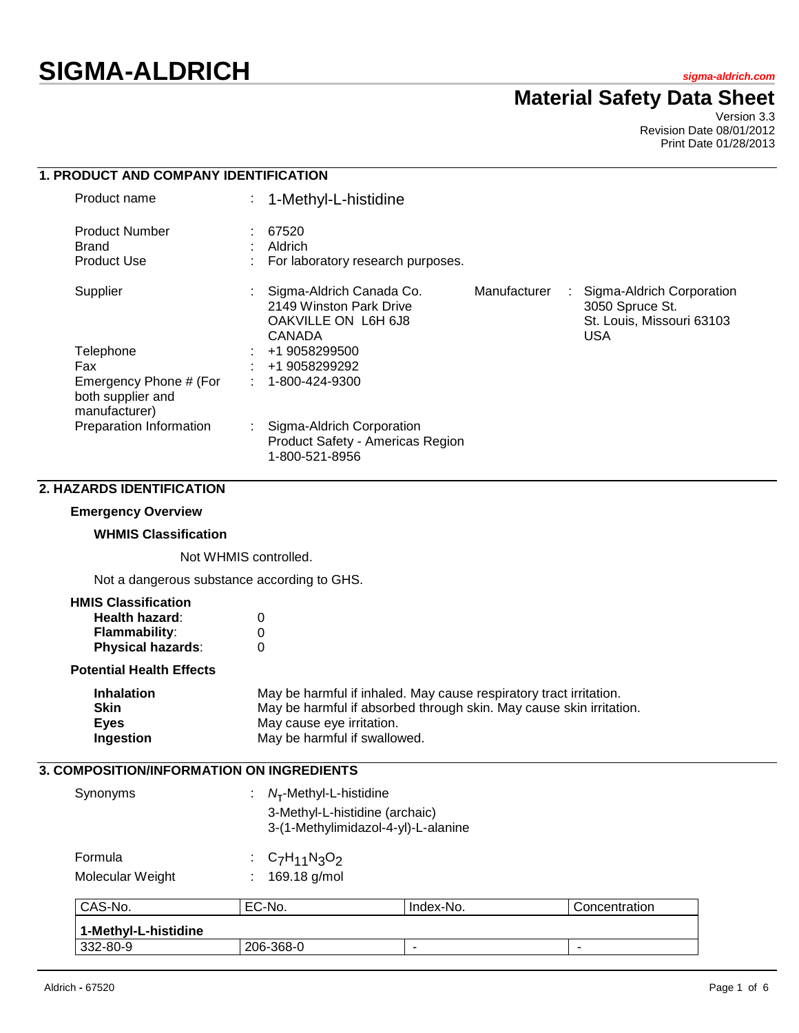# **SIGMA-ALDRICH** *sigma-aldrich.com*

## **Material Safety Data Sheet**

Version 3.3 Revision Date 08/01/2012 Print Date 01/28/2013

| 1. PRODUCT AND COMPANY IDENTIFICATION                        |    |                                                                                             |              |   |                                                                                         |
|--------------------------------------------------------------|----|---------------------------------------------------------------------------------------------|--------------|---|-----------------------------------------------------------------------------------------|
| Product name                                                 | t. | 1-Methyl-L-histidine                                                                        |              |   |                                                                                         |
| <b>Product Number</b>                                        |    | 67520                                                                                       |              |   |                                                                                         |
| <b>Brand</b>                                                 |    | Aldrich                                                                                     |              |   |                                                                                         |
| <b>Product Use</b>                                           |    | For laboratory research purposes.                                                           |              |   |                                                                                         |
| Supplier                                                     |    | Sigma-Aldrich Canada Co.<br>2149 Winston Park Drive<br>OAKVILLE ON L6H 6J8<br><b>CANADA</b> | Manufacturer | ÷ | Sigma-Aldrich Corporation<br>3050 Spruce St.<br>St. Louis, Missouri 63103<br><b>USA</b> |
| Telephone                                                    |    | +1 9058299500                                                                               |              |   |                                                                                         |
| Fax                                                          |    | +1 9058299292                                                                               |              |   |                                                                                         |
| Emergency Phone # (For<br>both supplier and<br>manufacturer) |    | $: 1 - 800 - 424 - 9300$                                                                    |              |   |                                                                                         |
| Preparation Information                                      |    | : Sigma-Aldrich Corporation<br>Product Safety - Americas Region<br>1-800-521-8956           |              |   |                                                                                         |
| <b>2. HAZARDS IDENTIFICATION</b>                             |    |                                                                                             |              |   |                                                                                         |
| <b>Emergency Overview</b>                                    |    |                                                                                             |              |   |                                                                                         |

#### **WHMIS Classification**

Not WHMIS controlled.

Not a dangerous substance according to GHS.

#### **HMIS Classification**

| Health hazard:           | 0 |
|--------------------------|---|
| <b>Flammability:</b>     | 0 |
| <b>Physical hazards:</b> | 0 |

## **Potential Health Effects**

| Inhalation | May be harmful if inhaled. May cause respiratory tract irritation.  |
|------------|---------------------------------------------------------------------|
| Skin       | May be harmful if absorbed through skin. May cause skin irritation. |
| Eyes       | May cause eye irritation.                                           |
| Ingestion  | May be harmful if swallowed.                                        |

## **3. COMPOSITION/INFORMATION ON INGREDIENTS**

| Synonyms                    | : $N_T$ -Methyl-L-histidine<br>3-Methyl-L-histidine (archaic)<br>3-(1-Methylimidazol-4-yl)-L-alanine |
|-----------------------------|------------------------------------------------------------------------------------------------------|
| Formula<br>Molecular Weight | : $C_7H_{11}N_3O_2$<br>: $169.18$ g/mol                                                              |

| CAS-No.                | EC-No.    | Index-No. | Concentration            |
|------------------------|-----------|-----------|--------------------------|
| ∣ 1-MethvI-L-histidine |           |           |                          |
| 332-80-9               | 206-368-0 |           | $\overline{\phantom{a}}$ |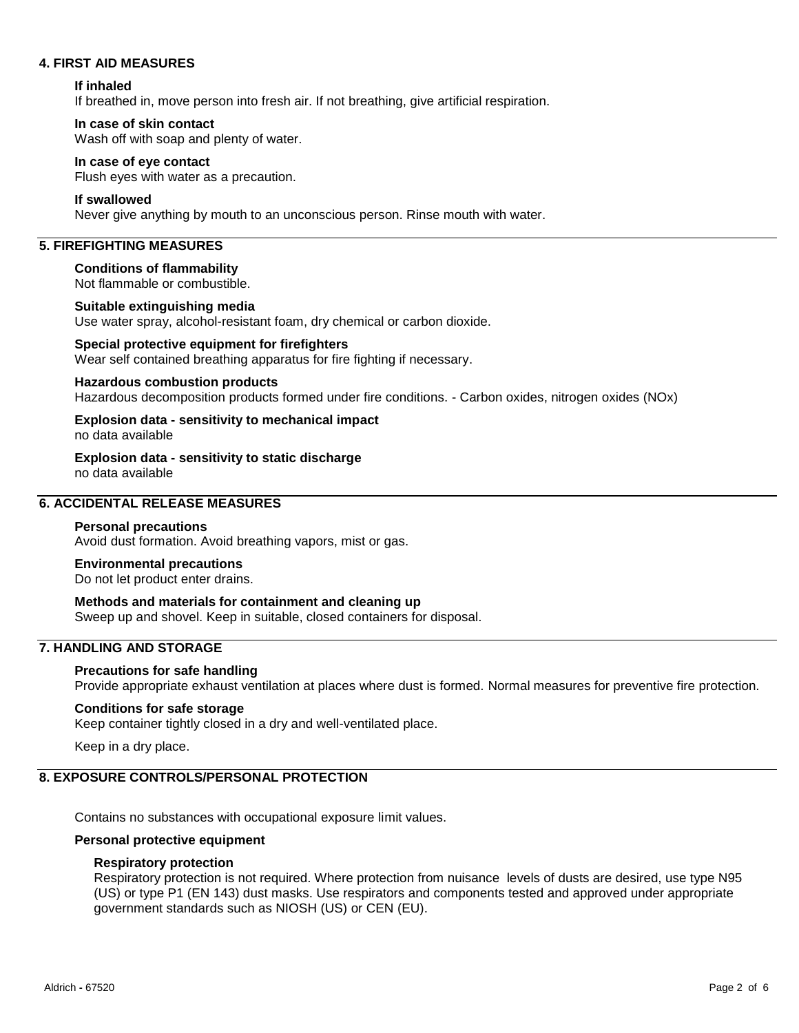#### **4. FIRST AID MEASURES**

#### **If inhaled**

If breathed in, move person into fresh air. If not breathing, give artificial respiration.

#### **In case of skin contact**

Wash off with soap and plenty of water.

#### **In case of eye contact**

Flush eyes with water as a precaution.

#### **If swallowed**

Never give anything by mouth to an unconscious person. Rinse mouth with water.

## **5. FIREFIGHTING MEASURES**

**Conditions of flammability** Not flammable or combustible.

## **Suitable extinguishing media**

Use water spray, alcohol-resistant foam, dry chemical or carbon dioxide.

#### **Special protective equipment for firefighters** Wear self contained breathing apparatus for fire fighting if necessary.

#### **Hazardous combustion products**

Hazardous decomposition products formed under fire conditions. - Carbon oxides, nitrogen oxides (NOx)

#### **Explosion data - sensitivity to mechanical impact** no data available

**Explosion data - sensitivity to static discharge** no data available

## **6. ACCIDENTAL RELEASE MEASURES**

#### **Personal precautions**

Avoid dust formation. Avoid breathing vapors, mist or gas.

#### **Environmental precautions**

Do not let product enter drains.

## **Methods and materials for containment and cleaning up**

Sweep up and shovel. Keep in suitable, closed containers for disposal.

## **7. HANDLING AND STORAGE**

#### **Precautions for safe handling**

Provide appropriate exhaust ventilation at places where dust is formed. Normal measures for preventive fire protection.

#### **Conditions for safe storage**

Keep container tightly closed in a dry and well-ventilated place.

Keep in a dry place.

## **8. EXPOSURE CONTROLS/PERSONAL PROTECTION**

Contains no substances with occupational exposure limit values.

#### **Personal protective equipment**

#### **Respiratory protection**

Respiratory protection is not required. Where protection from nuisance levels of dusts are desired, use type N95 (US) or type P1 (EN 143) dust masks. Use respirators and components tested and approved under appropriate government standards such as NIOSH (US) or CEN (EU).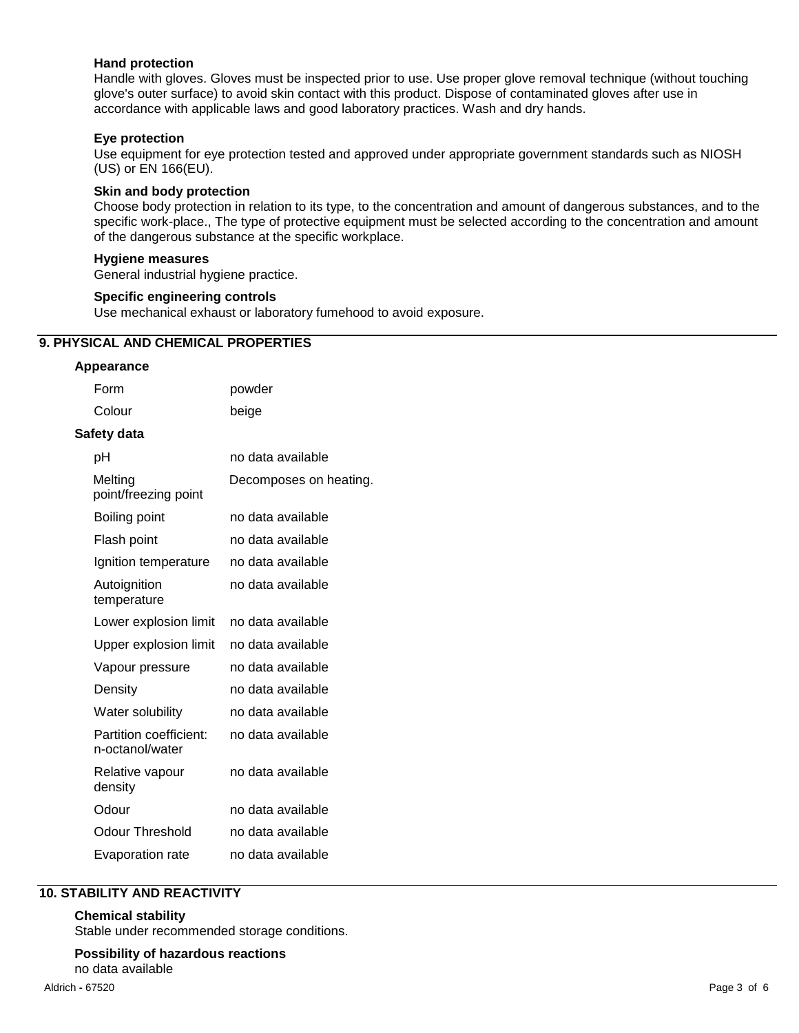#### **Hand protection**

Handle with gloves. Gloves must be inspected prior to use. Use proper glove removal technique (without touching glove's outer surface) to avoid skin contact with this product. Dispose of contaminated gloves after use in accordance with applicable laws and good laboratory practices. Wash and dry hands.

#### **Eye protection**

Use equipment for eye protection tested and approved under appropriate government standards such as NIOSH (US) or EN 166(EU).

#### **Skin and body protection**

Choose body protection in relation to its type, to the concentration and amount of dangerous substances, and to the specific work-place., The type of protective equipment must be selected according to the concentration and amount of the dangerous substance at the specific workplace.

#### **Hygiene measures**

General industrial hygiene practice.

#### **Specific engineering controls**

Use mechanical exhaust or laboratory fumehood to avoid exposure.

#### **9. PHYSICAL AND CHEMICAL PROPERTIES**

#### **Appearance**

| Form                                      | powder                 |
|-------------------------------------------|------------------------|
| Colour                                    | beige                  |
| Safety data                               |                        |
| рH                                        | no data available      |
| Melting<br>point/freezing point           | Decomposes on heating. |
| Boiling point                             | no data available      |
| Flash point                               | no data available      |
| Ignition temperature                      | no data available      |
| Autoignition<br>temperature               | no data available      |
| Lower explosion limit                     | no data available      |
| Upper explosion limit                     | no data available      |
| Vapour pressure                           | no data available      |
| Density                                   | no data available      |
| Water solubility                          | no data available      |
| Partition coefficient:<br>n-octanol/water | no data available      |
| Relative vapour<br>density                | no data available      |
| Odour                                     | no data available      |
| Odour Threshold                           | no data available      |
| Evaporation rate                          | no data available      |

## **10. STABILITY AND REACTIVITY**

#### **Chemical stability**

Stable under recommended storage conditions.

## **Possibility of hazardous reactions**

no data available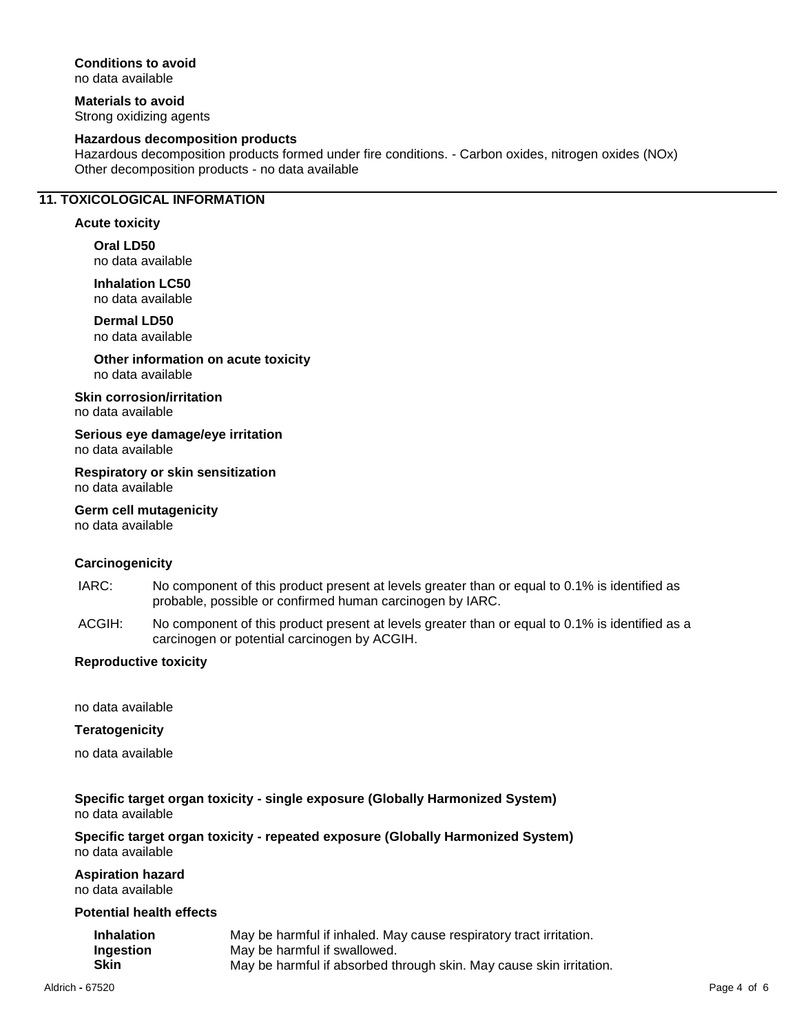## **Conditions to avoid**

no data available

**Materials to avoid** Strong oxidizing agents

#### **Hazardous decomposition products**

Hazardous decomposition products formed under fire conditions. - Carbon oxides, nitrogen oxides (NOx) Other decomposition products - no data available

## **11. TOXICOLOGICAL INFORMATION**

#### **Acute toxicity**

**Oral LD50** no data available

**Inhalation LC50** no data available

**Dermal LD50** no data available

**Other information on acute toxicity** no data available

**Skin corrosion/irritation**

no data available

**Serious eye damage/eye irritation** no data available

**Respiratory or skin sensitization** no data available

**Germ cell mutagenicity** no data available

#### **Carcinogenicity**

- IARC: No component of this product present at levels greater than or equal to 0.1% is identified as probable, possible or confirmed human carcinogen by IARC.
- ACGIH: No component of this product present at levels greater than or equal to 0.1% is identified as a carcinogen or potential carcinogen by ACGIH.

#### **Reproductive toxicity**

no data available

#### **Teratogenicity**

no data available

#### **Specific target organ toxicity - single exposure (Globally Harmonized System)** no data available

**Specific target organ toxicity - repeated exposure (Globally Harmonized System)** no data available

**Aspiration hazard**

no data available

#### **Potential health effects**

| <b>Inhalation</b> | May be harmful if inhaled. May cause respiratory tract irritation.  |
|-------------------|---------------------------------------------------------------------|
| Ingestion         | May be harmful if swallowed.                                        |
| Skin              | May be harmful if absorbed through skin. May cause skin irritation. |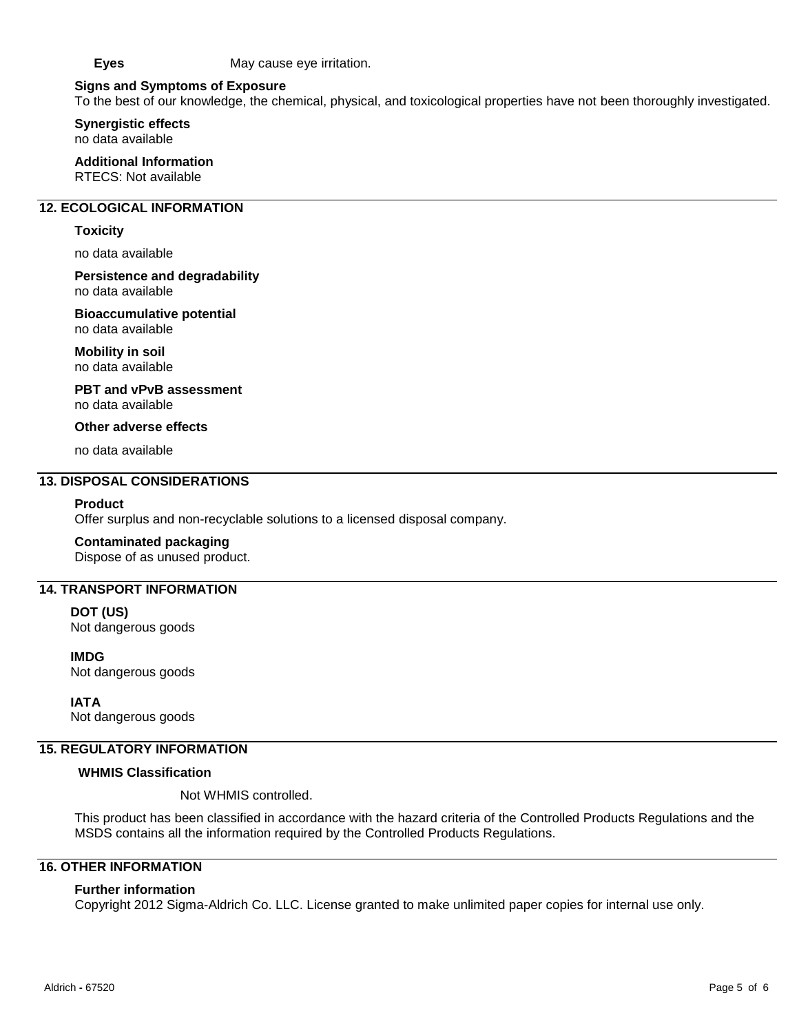**Eyes** May cause eye irritation.

#### **Signs and Symptoms of Exposure**

To the best of our knowledge, the chemical, physical, and toxicological properties have not been thoroughly investigated.

**Synergistic effects** no data available

**Additional Information** RTECS: Not available

#### **12. ECOLOGICAL INFORMATION**

#### **Toxicity**

no data available

**Persistence and degradability** no data available

**Bioaccumulative potential**

no data available

**Mobility in soil** no data available

**PBT and vPvB assessment** no data available

**Other adverse effects**

no data available

#### **13. DISPOSAL CONSIDERATIONS**

#### **Product**

Offer surplus and non-recyclable solutions to a licensed disposal company.

#### **Contaminated packaging**

Dispose of as unused product.

## **14. TRANSPORT INFORMATION**

**DOT (US)** Not dangerous goods

**IMDG** Not dangerous goods

**IATA** Not dangerous goods

#### **15. REGULATORY INFORMATION**

#### **WHMIS Classification**

Not WHMIS controlled.

This product has been classified in accordance with the hazard criteria of the Controlled Products Regulations and the MSDS contains all the information required by the Controlled Products Regulations.

## **16. OTHER INFORMATION**

#### **Further information**

Copyright 2012 Sigma-Aldrich Co. LLC. License granted to make unlimited paper copies for internal use only.